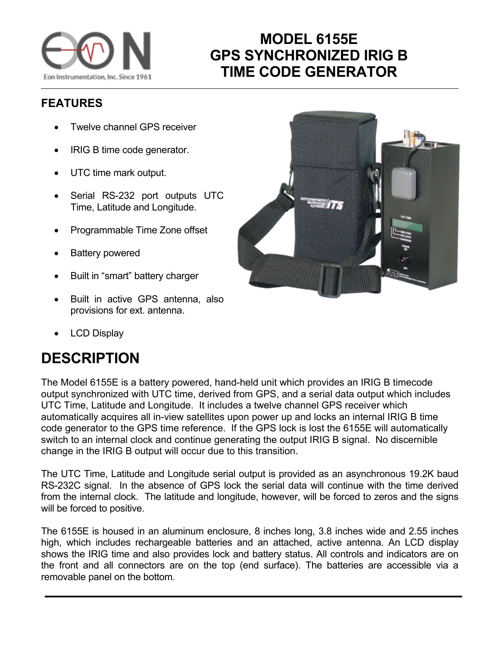

## **MODEL 6155E GPS SYNCHRONIZED IRIG B TIME CODE GENERATOR**

## **FEATURES**

- Twelve channel GPS receiver
- IRIG B time code generator.
- UTC time mark output.
- Serial RS-232 port outputs UTC Time, Latitude and Longitude.
- Programmable Time Zone offset
- Battery powered
- Built in "smart" battery charger
- Built in active GPS antenna, also provisions for ext. antenna.
- LCD Display

## **DESCRIPTION**

The Model 6155E is a battery powered, hand-held unit which provides an IRIG B timecode output synchronized with UTC time, derived from GPS, and a serial data output which includes UTC Time, Latitude and Longitude. It includes a twelve channel GPS receiver which automatically acquires all in-view satellites upon power up and locks an internal IRIG B time code generator to the GPS time reference. If the GPS lock is lost the 6155E will automatically switch to an internal clock and continue generating the output IRIG B signal. No discernible change in the IRIG B output will occur due to this transition.

The UTC Time, Latitude and Longitude serial output is provided as an asynchronous 19.2K baud RS-232C signal. In the absence of GPS lock the serial data will continue with the time derived from the internal clock. The latitude and longitude, however, will be forced to zeros and the signs will be forced to positive.

The 6155E is housed in an aluminum enclosure, 8 inches long, 3.8 inches wide and 2.55 inches high, which includes rechargeable batteries and an attached, active antenna. An LCD display shows the IRIG time and also provides lock and battery status. All controls and indicators are on the front and all connectors are on the top (end surface). The batteries are accessible via a removable panel on the bottom.